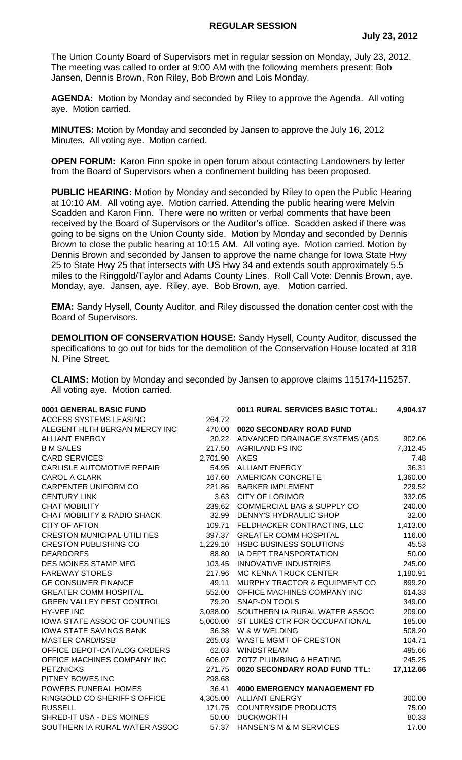The Union County Board of Supervisors met in regular session on Monday, July 23, 2012. The meeting was called to order at 9:00 AM with the following members present: Bob Jansen, Dennis Brown, Ron Riley, Bob Brown and Lois Monday.

**AGENDA:** Motion by Monday and seconded by Riley to approve the Agenda. All voting aye. Motion carried.

**MINUTES:** Motion by Monday and seconded by Jansen to approve the July 16, 2012 Minutes. All voting aye. Motion carried.

**OPEN FORUM:** Karon Finn spoke in open forum about contacting Landowners by letter from the Board of Supervisors when a confinement building has been proposed.

**PUBLIC HEARING:** Motion by Monday and seconded by Riley to open the Public Hearing at 10:10 AM. All voting aye. Motion carried. Attending the public hearing were Melvin Scadden and Karon Finn. There were no written or verbal comments that have been received by the Board of Supervisors or the Auditor's office. Scadden asked if there was going to be signs on the Union County side. Motion by Monday and seconded by Dennis Brown to close the public hearing at 10:15 AM. All voting aye. Motion carried. Motion by Dennis Brown and seconded by Jansen to approve the name change for Iowa State Hwy 25 to State Hwy 25 that intersects with US Hwy 34 and extends south approximately 5.5 miles to the Ringgold/Taylor and Adams County Lines. Roll Call Vote: Dennis Brown, aye. Monday, aye. Jansen, aye. Riley, aye. Bob Brown, aye. Motion carried.

**EMA:** Sandy Hysell, County Auditor, and Riley discussed the donation center cost with the Board of Supervisors.

**DEMOLITION OF CONSERVATION HOUSE:** Sandy Hysell, County Auditor, discussed the specifications to go out for bids for the demolition of the Conservation House located at 318 N. Pine Street.

**CLAIMS:** Motion by Monday and seconded by Jansen to approve claims 115174-115257. All voting aye. Motion carried.

| 0001 GENERAL BASIC FUND            |          | 0011 RURAL SERVICES BASIC TOTAL:      | 4,904.17  |
|------------------------------------|----------|---------------------------------------|-----------|
| <b>ACCESS SYSTEMS LEASING</b>      | 264.72   |                                       |           |
| ALEGENT HLTH BERGAN MERCY INC      | 470.00   | 0020 SECONDARY ROAD FUND              |           |
| <b>ALLIANT ENERGY</b>              | 20.22    | ADVANCED DRAINAGE SYSTEMS (ADS        | 902.06    |
| <b>B M SALES</b>                   | 217.50   | <b>AGRILAND FS INC</b>                | 7,312.45  |
| <b>CARD SERVICES</b>               | 2,701.90 | <b>AKES</b>                           | 7.48      |
| CARLISLE AUTOMOTIVE REPAIR         | 54.95    | <b>ALLIANT ENERGY</b>                 | 36.31     |
| <b>CAROL A CLARK</b>               | 167.60   | AMERICAN CONCRETE                     | 1,360.00  |
| CARPENTER UNIFORM CO               | 221.86   | <b>BARKER IMPLEMENT</b>               | 229.52    |
| <b>CENTURY LINK</b>                | 3.63     | <b>CITY OF LORIMOR</b>                | 332.05    |
| <b>CHAT MOBILITY</b>               | 239.62   | <b>COMMERCIAL BAG &amp; SUPPLY CO</b> | 240.00    |
| CHAT MOBILITY & RADIO SHACK        | 32.99    | DENNY'S HYDRAULIC SHOP                | 32.00     |
| <b>CITY OF AFTON</b>               | 109.71   | FELDHACKER CONTRACTING, LLC           | 1,413.00  |
| <b>CRESTON MUNICIPAL UTILITIES</b> | 397.37   | <b>GREATER COMM HOSPITAL</b>          | 116.00    |
| <b>CRESTON PUBLISHING CO</b>       | 1,229.10 | HSBC BUSINESS SOLUTIONS               | 45.53     |
| <b>DEARDORFS</b>                   | 88.80    | IA DEPT TRANSPORTATION                | 50.00     |
| DES MOINES STAMP MFG               | 103.45   | <b>INNOVATIVE INDUSTRIES</b>          | 245.00    |
| <b>FAREWAY STORES</b>              | 217.96   | MC KENNA TRUCK CENTER                 | 1,180.91  |
| <b>GE CONSUMER FINANCE</b>         | 49.11    | MURPHY TRACTOR & EQUIPMENT CO         | 899.20    |
| <b>GREATER COMM HOSPITAL</b>       | 552.00   | OFFICE MACHINES COMPANY INC           | 614.33    |
| <b>GREEN VALLEY PEST CONTROL</b>   | 79.20    | <b>SNAP-ON TOOLS</b>                  | 349.00    |
| <b>HY-VEE INC</b>                  | 3,038.00 | SOUTHERN IA RURAL WATER ASSOC         | 209.00    |
| IOWA STATE ASSOC OF COUNTIES       | 5,000.00 | ST LUKES CTR FOR OCCUPATIONAL         | 185.00    |
| <b>IOWA STATE SAVINGS BANK</b>     | 36.38    | W & W WELDING                         | 508.20    |
| <b>MASTER CARD/ISSB</b>            | 265.03   | <b>WASTE MGMT OF CRESTON</b>          | 104.71    |
| OFFICE DEPOT-CATALOG ORDERS        | 62.03    | <b>WINDSTREAM</b>                     | 495.66    |
| OFFICE MACHINES COMPANY INC        | 606.07   | ZOTZ PLUMBING & HEATING               | 245.25    |
| <b>PETZNICKS</b>                   | 271.75   | 0020 SECONDARY ROAD FUND TTL:         | 17,112.66 |
| PITNEY BOWES INC                   | 298.68   |                                       |           |
| POWERS FUNERAL HOMES               | 36.41    | <b>4000 EMERGENCY MANAGEMENT FD</b>   |           |
| RINGGOLD CO SHERIFF'S OFFICE       | 4,305.00 | <b>ALLIANT ENERGY</b>                 | 300.00    |
| <b>RUSSELL</b>                     | 171.75   | <b>COUNTRYSIDE PRODUCTS</b>           | 75.00     |
| SHRED-IT USA - DES MOINES          | 50.00    | <b>DUCKWORTH</b>                      | 80.33     |
| SOUTHERN IA RURAL WATER ASSOC      | 57.37    | HANSEN'S M & M SERVICES               | 17.00     |